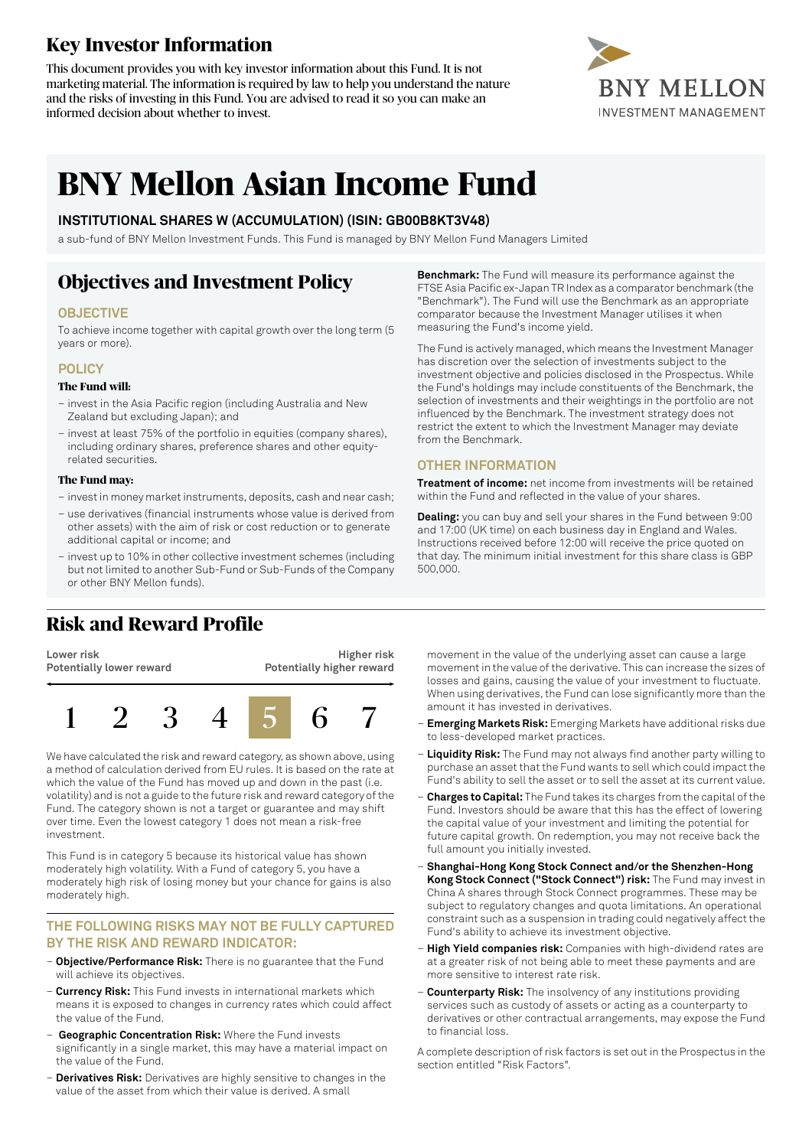## **Key Investor Information**

This document provides you with key investor information about this Fund. It is not marketing material. The information is required by law to help you understand the nature and the risks of investing in this Fund. You are advised to read it so you can make an informed decision about whether to invest.



# **BNY Mellon Asian Income Fund**

#### **INSTITUTIONAL SHARES W (ACCUMULATION) (ISIN: GB00B8KT3V48)**

a sub-fund of BNY Mellon Investment Funds. This Fund is managed by BNY Mellon Fund Managers Limited

## **Objectives and Investment Policy**

#### **OBJECTIVE**

To achieve income together with capital growth over the long term (5 years or more).

#### **POLICY**

#### **The Fund will:**

- invest in the Asia Pacific region (including Australia and New Zealand but excluding Japan); and
- invest at least 75% of the portfolio in equities (company shares), including ordinary shares, preference shares and other equityrelated securities.

#### **The Fund may:**

- investin money marketinstruments, deposits, cash and near cash;
- use derivatives (financial instruments whose value is derived from other assets) with the aim of risk or cost reduction or to generate additional capital or income; and
- invest up to 10% in other collective investment schemes (including but not limited to another Sub-Fund or Sub-Funds of the Company or other BNY Mellon funds).

## **Risk and Reward Profile**

**Lower risk Potentially lower reward Higher risk Potentially higher reward**



We have calculated the risk and reward category, as shown above, using a method of calculation derived from EU rules. It is based on the rate at which the value of the Fund has moved up and down in the past (i.e. volatility) and is not a guide to the future risk and reward category of the Fund. The category shown is not a target or guarantee and may shift over time. Even the lowest category 1 does not mean a risk-free investment.

This Fund is in category 5 because its historical value has shown moderately high volatility. With a Fund of category 5, you have a moderately high risk of losing money but your chance for gains is also moderately high.

#### **THE FOLLOWING RISKS MAY NOT BE FULLY CAPTURED BY THE RISK AND REWARD INDICATOR:**

- **Objective/Performance Risk:** There is no guarantee that the Fund will achieve its objectives.
- **Currency Risk:** This Fund invests in international markets which means it is exposed to changes in currency rates which could affect the value of the Fund.
- **Geographic Concentration Risk:** Where the Fund invests significantly in a single market, this may have a material impact on the value of the Fund.
- **Derivatives Risk:** Derivatives are highly sensitive to changes in the value of the asset from which their value is derived. A small

**Benchmark:** The Fund will measure its performance against the FTSE Asia Pacific ex-Japan TR Index as a comparator benchmark (the "Benchmark"). The Fund will use the Benchmark as an appropriate comparator because the Investment Manager utilises it when measuring the Fund's income yield.

The Fund is actively managed, which means the Investment Manager has discretion over the selection of investments subject to the investment objective and policies disclosed in the Prospectus. While the Fund's holdings may include constituents of the Benchmark, the selection of investments and their weightings in the portfolio are not influenced by the Benchmark. The investment strategy does not restrict the extent to which the Investment Manager may deviate from the Benchmark.

#### **OTHER INFORMATION**

**Treatment of income:** net income from investments will be retained within the Fund and reflected in the value of your shares.

**Dealing:** you can buy and sell your shares in the Fund between 9:00 and 17:00 (UK time) on each business day in England and Wales. Instructions received before 12:00 will receive the price quoted on that day. The minimum initial investment for this share class is GBP 500,000.

movement in the value of the underlying asset can cause a large movement in the value of the derivative. This can increase the sizes of losses and gains, causing the value of your investment to fluctuate. When using derivatives, the Fund can lose significantly more than the amount it has invested in derivatives.

- **Emerging Markets Risk:** Emerging Markets have additional risks due to less-developed market practices.
- **Liquidity Risk:** The Fund may not always find another party willing to purchase an asset that the Fund wants to sell which could impact the Fund's ability to sell the asset or to sell the asset at its current value.
- **Charges to Capital:** The Fund takes its charges from the capital ofthe Fund. Investors should be aware that this has the effect of lowering the capital value of your investment and limiting the potential for future capital growth. On redemption, you may not receive back the full amount you initially invested.
- **Shanghai-Hong Kong Stock Connect and/or the Shenzhen-Hong Kong Stock Connect ("Stock Connect") risk:** The Fund may invest in China A shares through Stock Connect programmes. These may be subject to regulatory changes and quota limitations. An operational constraint such as a suspension in trading could negatively affect the Fund's ability to achieve its investment objective.
- **High Yield companies risk:** Companies with high-dividend rates are at a greater risk of not being able to meet these payments and are more sensitive to interest rate risk.
- **Counterparty Risk:** The insolvency of any institutions providing services such as custody of assets or acting as a counterparty to derivatives or other contractual arrangements, may expose the Fund to financial loss.

A complete description of risk factors is set out in the Prospectus in the section entitled "Risk Factors".